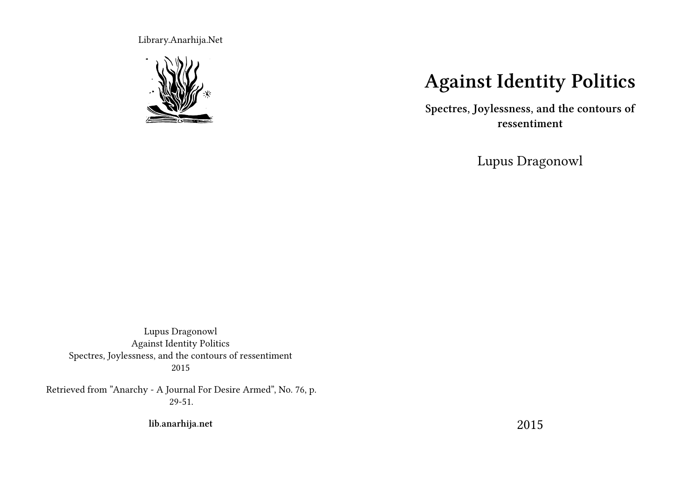Library.Anarhija.Net



# **Against Identity Politics**

**Spectres, Joylessness, and the contours of ressentiment**

Lupus Dragonowl

Lupus Dragonowl Against Identity Politics Spectres, Joylessness, and the contours of ressentiment 2015

Retrieved from "Anarchy - A Journal For Desire Armed", No. 76, p. 29-51.

**lib.anarhija.net**

2015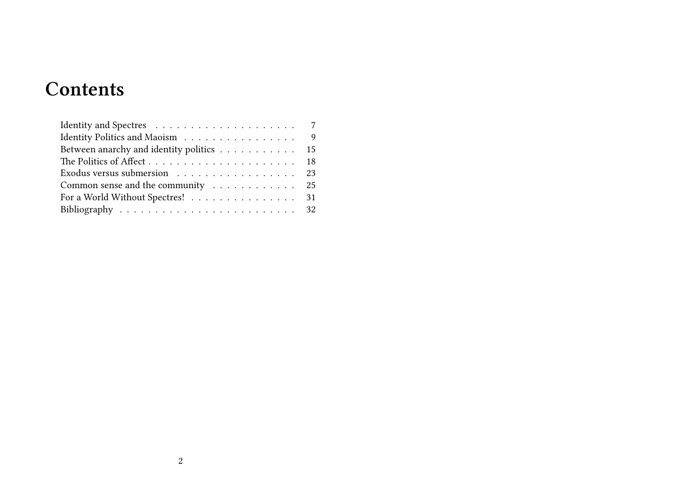## **Contents**

| Identity Politics and Maoism 9           |  |
|------------------------------------------|--|
| Between anarchy and identity politics 15 |  |
|                                          |  |
| Exodus versus submersion 23              |  |
| Common sense and the community 25        |  |
| For a World Without Spectres! 31         |  |
|                                          |  |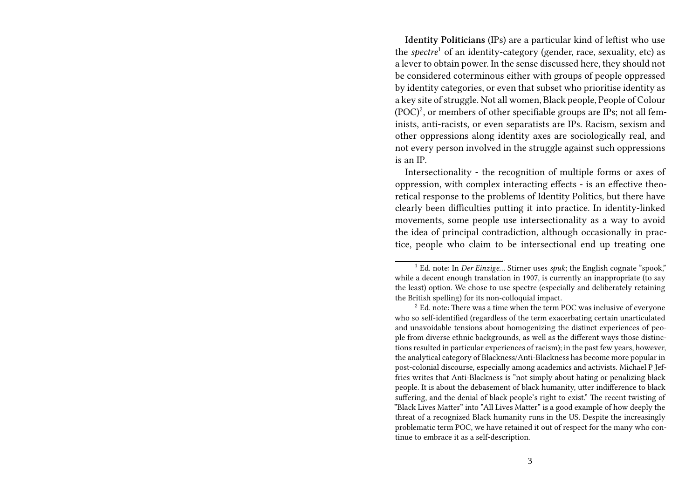**Identity Politicians** (IPs) are a particular kind of leftist who use the *spectre*<sup>1</sup> of an identity-category (gender, race, sexuality, etc) as a lever to obtain power. In the sense discussed here, they should not be considered coterminous either with groups of people oppressed by identity categories, or even that subset who prioritise identity as a key site of struggle. Not all women, Black people, People of Colour  $(POC)<sup>2</sup>$ , or members of other specifiable groups are IPs; not all feminists, anti-racists, or even separatists are IPs. Racism, sexism and other oppressions along identity axes are sociologically real, and not every person involved in the struggle against such oppressions is an IP.

Intersectionality - the recognition of multiple forms or axes of oppression, with complex interacting effects - is an effective theoretical response to the problems of Identity Politics, but there have clearly been difficulties putting it into practice. In identity-linked movements, some people use intersectionality as a way to avoid the idea of principal contradiction, although occasionally in practice, people who claim to be intersectional end up treating one

<sup>1</sup> Ed. note: In *Der Einzige…* Stirner uses *spuk*; the English cognate "spook," while a decent enough translation in 1907, is currently an inappropriate (to say the least) option. We chose to use spectre (especially and deliberately retaining the British spelling) for its non-colloquial impact.

<sup>&</sup>lt;sup>2</sup> Ed. note: There was a time when the term POC was inclusive of everyone who so self-identified (regardless of the term exacerbating certain unarticulated and unavoidable tensions about homogenizing the distinct experiences of people from diverse ethnic backgrounds, as well as the different ways those distinctions resulted in particular experiences of racism); in the past few years, however, the analytical category of Blackness/Anti-Blackness has become more popular in post-colonial discourse, especially among academics and activists. Michael P Jeffries writes that Anti-Blackness is "not simply about hating or penalizing black people. It is about the debasement of black humanity, utter indifference to black suffering, and the denial of black people's right to exist." The recent twisting of "Black Lives Matter" into "All Lives Matter" is a good example of how deeply the threat of a recognized Black humanity runs in the US. Despite the increasingly problematic term POC, we have retained it out of respect for the many who continue to embrace it as a self-description.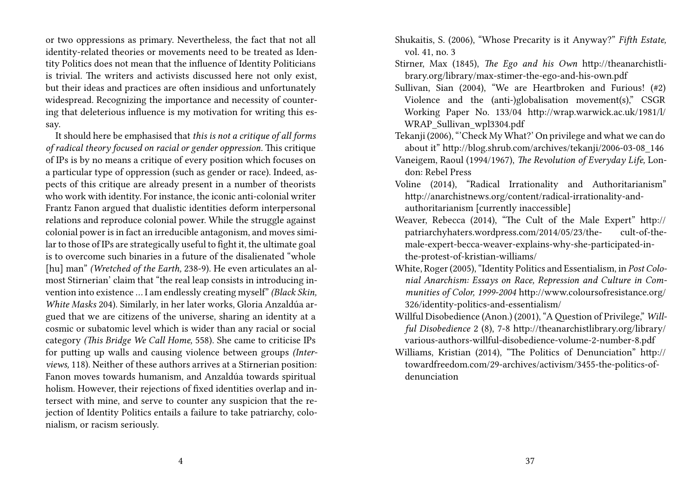or two oppressions as primary. Nevertheless, the fact that not all identity-related theories or movements need to be treated as Identity Politics does not mean that the influence of Identity Politicians is trivial. The writers and activists discussed here not only exist, but their ideas and practices are often insidious and unfortunately widespread. Recognizing the importance and necessity of countering that deleterious influence is my motivation for writing this essay.

It should here be emphasised that *this is not a critique of all forms of radical theory focused on racial or gender oppression.* This critique of IPs is by no means a critique of every position which focuses on a particular type of oppression (such as gender or race). Indeed, aspects of this critique are already present in a number of theorists who work with identity. For instance, the iconic anti-colonial writer Frantz Fanon argued that dualistic identities deform interpersonal relations and reproduce colonial power. While the struggle against colonial power is in fact an irreducible antagonism, and moves similar to those of IPs are strategically useful to fight it, the ultimate goal is to overcome such binaries in a future of the disalienated "whole [hu] man" *(Wretched of the Earth,* 238-9). He even articulates an almost Stirnerian' claim that "the real leap consists in introducing invention into existence … I am endlessly creating myself"*(Black Skin, White Masks* 204). Similarly, in her later works, Gloria Anzaldúa argued that we are citizens of the universe, sharing an identity at a cosmic or subatomic level which is wider than any racial or social category *(This Bridge We Call Home,* 558). She came to criticise IPs for putting up walls and causing violence between groups *(Interviews,* 118). Neither of these authors arrives at a Stirnerian position: Fanon moves towards humanism, and Anzaldúa towards spiritual holism. However, their rejections of fixed identities overlap and intersect with mine, and serve to counter any suspicion that the rejection of Identity Politics entails a failure to take patriarchy, colonialism, or racism seriously.

- Shukaitis, S. (2006), "Whose Precarity is it Anyway?" *Fifth Estate,* vol. 41, no. 3
- Stirner, Max (1845), *The Ego and his Own* http://theanarchistlibrary.org/library/max-stimer-the-ego-and-his-own.pdf
- Sullivan, Sian (2004), "We are Heartbroken and Furious! (#2) Violence and the (anti-)globalisation movement(s)," CSGR Working Paper No. 133/04 http://wrap.warwick.ac.uk/1981/l/ WRAP\_Sullivan\_wpl3304.pdf
- Tekanji (2006), "'Check My What?' On privilege and what we can do about it" http://blog.shrub.com/archives/tekanji/2006-03-08\_146
- Vaneigem, Raoul (1994/1967), *The Revolution of Everyday Life,* London: Rebel Press
- Voline (2014), "Radical Irrationality and Authoritarianism" http://anarchistnews.org/content/radical-irrationality-andauthoritarianism [currently inaccessible]
- Weaver, Rebecca (2014), "The Cult of the Male Expert" http:// patriarchyhaters.wordpress.com/2014/05/23/the- cult-of-themale-expert-becca-weaver-explains-why-she-participated-inthe-protest-of-kristian-williams/
- White, Roger (2005), "Identity Politics and Essentialism, in *Post Colonial Anarchism: Essays on Race, Repression and Culture in Communities of Color, 1999-2004* http://www.coloursofresistance.org/ 326/identity-politics-and-essentialism/
- Willful Disobedience (Anon.) (2001), "AQuestion of Privilege," *Willful Disobedience* 2 (8), 7-8 http://theanarchistlibrary.org/library/ various-authors-willful-disobedience-volume-2-number-8.pdf
- Williams, Kristian (2014), "The Politics of Denunciation" http:// towardfreedom.com/29-archives/activism/3455-the-politics-ofdenunciation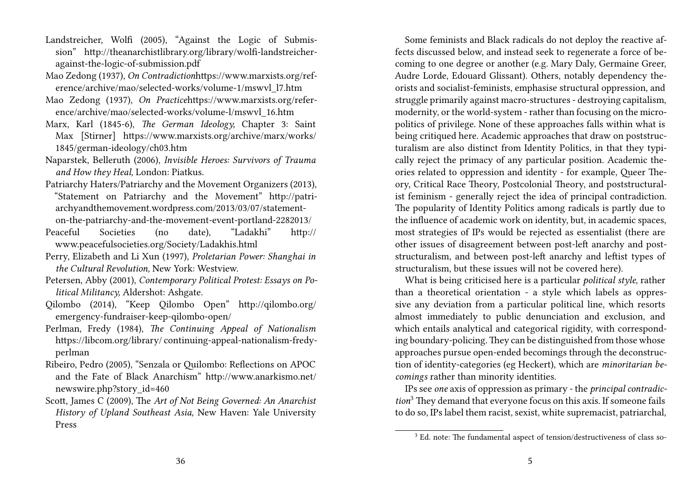- Landstreicher, Wolfi (2005), "Against the Logic of Submission" http://theanarchistlibrary.org/library/wolfi-landstreicheragainst-the-logic-of-submission.pdf
- Mao Zedong (1937), *On Contradiction*https://www.marxists.org/reference/archive/mao/selected-works/volume-1/mswvl\_l7.htm
- Mao Zedong (1937), *On Practice*https://www.marxists.org/reference/archive/mao/selected-works/volume-l/mswvl\_16.htm
- Marx, Karl (1845-6), *The German Ideology,* Chapter 3: Saint Max [Stirner] https://www.marxists.org/archive/marx/works/ 1845/german-ideology/ch03.htm
- Naparstek, Belleruth (2006), *Invisible Heroes: Survivors of Trauma and How they Heal,* London: Piatkus.
- Patriarchy Haters/Patriarchy and the Movement Organizers (2013), "Statement on Patriarchy and the Movement" http://patriarchyandthemovement.wordpress.com/2013/03/07/statementon-the-patriarchy-and-the-movement-event-portland-2282013/
- Peaceful Societies (no date), "Ladakhi" http:// www.peacefulsocieties.org/Society/Ladakhis.html
- Perry, Elizabeth and Li Xun (1997), *Proletarian Power: Shanghai in the Cultural Revolution,* New York: Westview.
- Petersen, Abby (2001), *Contemporary Political Protest: Essays on Political Militancy,* Aldershot: Ashgate.
- Qilombo (2014), "Keep Qilombo Open" http://qilombo.org/ emergency-fundraiser-keep-qilombo-open/
- Perlman, Fredy (1984), *The Continuing Appeal of Nationalism* https://libcom.org/library/ continuing-appeal-nationalism-fredyperlman
- Ribeiro, Pedro (2005), "Senzala or Quilombo: Reflections on APOC and the Fate of Black Anarchism" http://www.anarkismo.net/ newswire.php?story\_id=460
- Scott, James C (2009), The *Art of Not Being Governed: An Anarchist History of Upland Southeast Asia,* New Haven: Yale University Press

Some feminists and Black radicals do not deploy the reactive affects discussed below, and instead seek to regenerate a force of becoming to one degree or another (e.g. Mary Daly, Germaine Greer, Audre Lorde, Edouard Glissant). Others, notably dependency theorists and socialist-feminists, emphasise structural oppression, and struggle primarily against macro-structures - destroying capitalism, modernity, or the world-system - rather than focusing on the micropolitics of privilege. None of these approaches falls within what is being critiqued here. Academic approaches that draw on poststructuralism are also distinct from Identity Politics, in that they typically reject the primacy of any particular position. Academic theories related to oppression and identity - for example, Queer Theory, Critical Race Theory, Postcolonial Theory, and poststructuralist feminism - generally reject the idea of principal contradiction. The popularity of Identity Politics among radicals is partly due to the influence of academic work on identity, but, in academic spaces, most strategies of IPs would be rejected as essentialist (there are other issues of disagreement between post-left anarchy and poststructuralism, and between post-left anarchy and leftist types of structuralism, but these issues will not be covered here).

What is being criticised here is a particular *political style,* rather than a theoretical orientation - a style which labels as oppressive any deviation from a particular political line, which resorts almost immediately to public denunciation and exclusion, and which entails analytical and categorical rigidity, with corresponding boundary-policing. They can be distinguished from those whose approaches pursue open-ended becomings through the deconstruction of identity-categories (eg Heckert), which are *minoritarian becomings* rather than minority identities.

IPs see *one* axis of oppression as primary - the *principal contradiction*<sup>3</sup> They demand that everyone focus on this axis. If someone fails to do so, IPs label them racist, sexist, white supremacist, patriarchal,

<sup>3</sup> Ed. note: The fundamental aspect of tension/destructiveness of class so-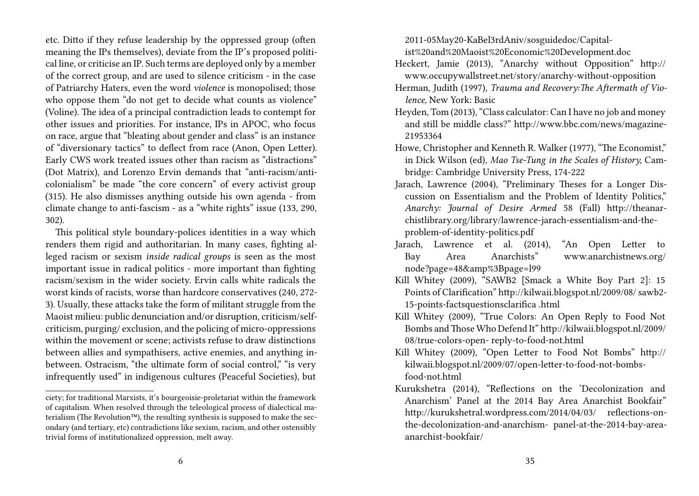etc. Ditto if they refuse leadership by the oppressed group (often meaning the IPs themselves), deviate from the IP's proposed political line, or criticise an IP. Such terms are deployed only by a member of the correct group, and are used to silence criticism - in the case of Patriarchy Haters, even the word *violence* is monopolised; those who oppose them "do not get to decide what counts as violence" (Voline). The idea of a principal contradiction leads to contempt for other issues and priorities. For instance, IPs in APOC, who focus on race, argue that "bleating about gender and class" is an instance of "diversionary tactics" to deflect from race (Anon, Open Letter). Early CWS work treated issues other than racism as "distractions" (Dot Matrix), and Lorenzo Ervin demands that "anti-racism/anticolonialism" be made "the core concern" of every activist group (315). He also dismisses anything outside his own agenda - from climate change to anti-fascism - as a "white rights" issue (133, 290, 302).

This political style boundary-polices identities in a way which renders them rigid and authoritarian. In many cases, fighting alleged racism or sexism *inside radical groups* is seen as the most important issue in radical politics - more important than fighting racism/sexism in the wider society. Ervin calls white radicals the worst kinds of racists, worse than hardcore conservatives (240, 272- 3). Usually, these attacks take the form of militant struggle from the Maoist milieu: public denunciation and/or disruption, criticism/selfcriticism, purging/ exclusion, and the policing of micro-oppressions within the movement or scene; activists refuse to draw distinctions between allies and sympathisers, active enemies, and anything inbetween. Ostracism, "the ultimate form of social control," "is very infrequently used" in indigenous cultures (Peaceful Societies), but

2011-05May20-KaBel3rdAniv/sosguidedoc/Capital-

ist%20and%20Maoist%20Economic%20Development.doc

- Heckert, Jamie (2013), "Anarchy without Opposition" http:// www.occupywallstreet.net/story/anarchy-without-opposition
- Herman, Judith (1997), *Trauma and Recovery:The Aftermath of Violence,* New York: Basic
- Heyden, Tom (2013), "Class calculator: Can I have no job and money and still be middle class?" http://www.bbc.com/news/magazine-21953364
- Howe, Christopher and Kenneth R. Walker (1977), "The Economist," in Dick Wilson (ed), *Mao Tse-Tung in the Scales of History,* Cambridge: Cambridge University Press, 174-222
- Jarach, Lawrence (2004), "Preliminary Theses for a Longer Discussion on Essentialism and the Problem of Identity Politics," *Anarchy: Journal of Desire Armed* 58 (Fall) http://theanarchistlibrary.org/library/lawrence-jarach-essentialism-and-theproblem-of-identity-politics.pdf
- Jarach, Lawrence et al. (2014), "An Open Letter to Bay Area Anarchists" www.anarchistnews.org/ node?page=48&amp%3Bpage=l99
- Kill Whitey (2009), "SAWB2 [Smack a White Boy Part 2]: 15 Points of Clarification" http://kilwaii.blogspot.nl/2009/08/ sawb2- 15-points-factsquestionsclarifica .html
- Kill Whitey (2009), "True Colors: An Open Reply to Food Not Bombs andThose Who Defend It" http://kilwaii.blogspot.nl/2009/ 08/true-colors-open- reply-to-food-not.html
- Kill Whitey (2009), "Open Letter to Food Not Bombs" http:// kilwaii.blogspot.nl/2009/07/open-letter-to-food-not-bombsfood-not.html
- Kurukshetra (2014), "Reflections on the 'Decolonization and Anarchism' Panel at the 2014 Bay Area Anarchist Bookfair" http://kurukshetral.wordpress.com/2014/04/03/ reflections-onthe-decolonization-and-anarchism- panel-at-the-2014-bay-areaanarchist-bookfair/

ciety; for traditional Marxists, it's bourgeoisie-proletariat within the framework of capitalism. When resolved through the teleological process of dialectical materialism (The Revolution™), the resulting synthesis is supposed to make the secondary (and tertiary, etc) contradictions like sexism, racism, and other ostensibly trivial forms of institutionalized oppression, melt away.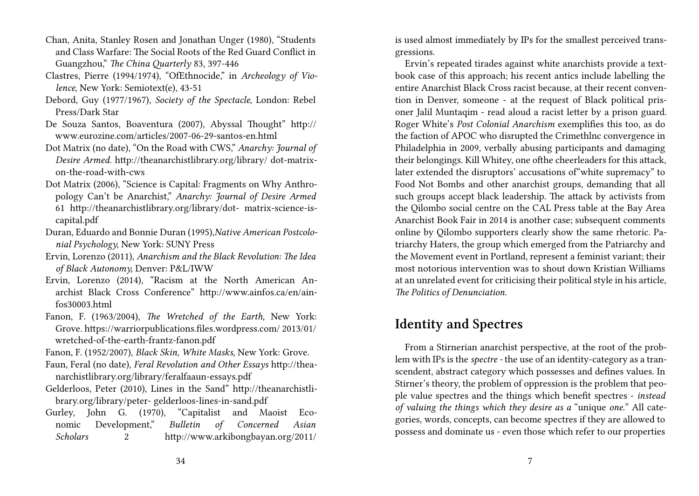- Chan, Anita, Stanley Rosen and Jonathan Unger (1980), "Students and Class Warfare: The Social Roots of the Red Guard Conflict in Guangzhou," *The China Quarterly* 83, 397-446
- Clastres, Pierre (1994/1974), "OfEthnocide," in *Archeology of Violence,* New York: Semiotext(e), 43-51
- Debord, Guy (1977/1967), *Society of the Spectacle,* London: Rebel Press/Dark Star
- De Souza Santos, Boaventura (2007), Abyssal Thought" http:// www.eurozine.com/articles/2007-06-29-santos-en.html
- Dot Matrix (no date), "On the Road with CWS," *Anarchy: Journal of Desire Armed.* http://theanarchistlibrary.org/library/ dot-matrixon-the-road-with-cws
- Dot Matrix (2006), "Science is Capital: Fragments on Why Anthropology Can't be Anarchist," *Anarchy: Journal of Desire Armed* 61 http://theanarchistlibrary.org/library/dot- matrix-science-iscapital.pdf
- Duran, Eduardo and Bonnie Duran (1995),*Native American Postcolonial Psychology,* New York: SUNY Press
- Ervin, Lorenzo (2011), *Anarchism and the Black Revolution: The Idea of Black Autonomy,* Denver: P&L/IWW
- Ervin, Lorenzo (2014), "Racism at the North American Anarchist Black Cross Conference" http://www.ainfos.ca/en/ainfos30003.html
- Fanon, F. (1963/2004), *The Wretched of the Earth,* New York: Grove. https://warriorpublications.files.wordpress.com/ 2013/01/ wretched-of-the-earth-frantz-fanon.pdf
- Fanon, F. (1952/2007), *Black Skin, White Masks,* New York: Grove.
- Faun, Feral (no date), *Feral Revolution and Other Essays* http://theanarchistlibrary.org/library/feralfaaun-essays.pdf
- Gelderloos, Peter (2010), Lines in the Sand" http://theanarchistlibrary.org/library/peter- gelderloos-lines-in-sand.pdf
- Gurley, John G. (1970), "Capitalist and Maoist Economic Development," *Bulletin of Concerned Asian Scholars* 2 http://www.arkibongbayan.org/2011/

is used almost immediately by IPs for the smallest perceived transgressions.

Ervin's repeated tirades against white anarchists provide a textbook case of this approach; his recent antics include labelling the entire Anarchist Black Cross racist because, at their recent convention in Denver, someone - at the request of Black political prisoner Jalil Muntaqim - read aloud a racist letter by a prison guard. Roger White's *Post Colonial Anarchism* exemplifies this too, as do the faction of APOC who disrupted the Crimethlnc convergence in Philadelphia in 2009, verbally abusing participants and damaging their belongings. Kill Whitey, one ofthe cheerleaders for this attack, later extended the disruptors' accusations of"white supremacy" to Food Not Bombs and other anarchist groups, demanding that all such groups accept black leadership. The attack by activists from the Qilombo social centre on the CAL Press table at the Bay Area Anarchist Book Fair in 2014 is another case; subsequent comments online by Qilombo supporters clearly show the same rhetoric. Patriarchy Haters, the group which emerged from the Patriarchy and the Movement event in Portland, represent a feminist variant; their most notorious intervention was to shout down Kristian Williams at an unrelated event for criticising their political style in his article, *The Politics of Denunciation.*

## **Identity and Spectres**

From a Stirnerian anarchist perspective, at the root of the problem with IPs is the *spectre -* the use of an identity-category as a transcendent, abstract category which possesses and defines values. In Stirner's theory, the problem of oppression is the problem that people value spectres and the things which benefit spectres - *instead of valuing the things which they desire as a* "unique *one.*" All categories, words, concepts, can become spectres if they are allowed to possess and dominate us - even those which refer to our properties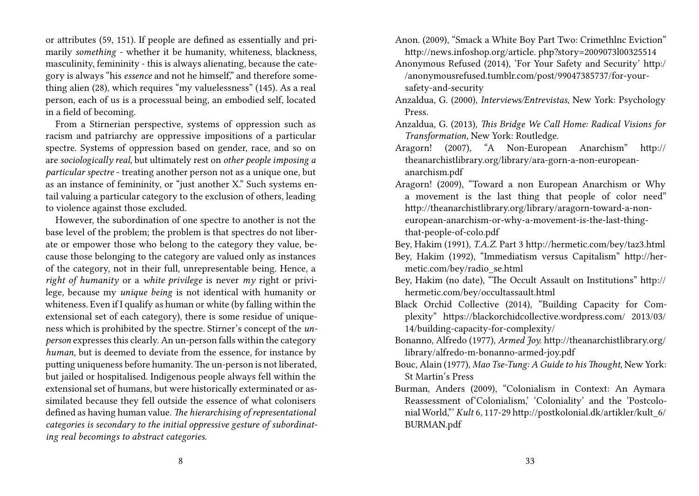or attributes (59, 151). If people are defined as essentially and primarily *something* - whether it be humanity, whiteness, blackness, masculinity, femininity - this is always alienating, because the category is always "his *essence* and not he himself," and therefore something alien (28), which requires "my valuelessness" (145). As a real person, each of us is a processual being, an embodied self, located in a field of becoming.

From a Stirnerian perspective, systems of oppression such as racism and patriarchy are oppressive impositions of a particular spectre. Systems of oppression based on gender, race, and so on are *sociologically real,* but ultimately rest on *other people imposing a particular spectre* - treating another person not as a unique one, but as an instance of femininity, or "just another X." Such systems entail valuing a particular category to the exclusion of others, leading to violence against those excluded.

However, the subordination of one spectre to another is not the base level of the problem; the problem is that spectres do not liberate or empower those who belong to the category they value, because those belonging to the category are valued only as instances of the category, not in their full, unrepresentable being. Hence, a *right of humanity* or a *white privilege* is never *my* right or privilege, because my *unique being* is not identical with humanity or whiteness. Even if I qualify as human or white (by falling within the extensional set of each category), there is some residue of uniqueness which is prohibited by the spectre. Stirner's concept of the *unperson* expresses this clearly. An un-person falls within the category *human,* but is deemed to deviate from the essence, for instance by putting uniqueness before humanity. The un-person is not liberated, but jailed or hospitalised. Indigenous people always fell within the extensional set of humans, but were historically exterminated or assimilated because they fell outside the essence of what colonisers defined as having human value. *The hierarchising of representational categories is secondary to the initial oppressive gesture of subordinating real becomings to abstract categories.*

Anon. (2009), "Smack a White Boy Part Two: Crimethlnc Eviction" http://news.infoshop.org/article. php?story=2009073l00325514

- Anonymous Refused (2014), 'For Your Safety and Security' http:/ /anonymousrefused.tumblr.com/post/99047385737/for-yoursafety-and-security
- Anzaldua, G. (2000), *Interviews/Entrevistas,* New York: Psychology Press.
- Anzaldua, G. (2013), *This Bridge We Call Home: Radical Visions for Transformation,* New York: Routledge.
- Aragorn! (2007), "A Non-European Anarchism" http:// theanarchistlibrary.org/library/ara-gorn-a-non-europeananarchism.pdf
- Aragorn! (2009), "Toward a non European Anarchism or Why a movement is the last thing that people of color need" http://theanarchistlibrary.org/library/aragorn-toward-a-noneuropean-anarchism-or-why-a-movement-is-the-last-thingthat-people-of-colo.pdf
- Bey, Hakim (1991), *T.A.Z.* Part 3 http://hermetic.com/bey/taz3.html
- Bey, Hakim (1992), "Immediatism versus Capitalism" http://hermetic.com/bey/radio\_se.html
- Bey, Hakim (no date), "The Occult Assault on Institutions" http:// hermetic.com/bey/occultassault.html
- Black Orchid Collective (2014), "Building Capacity for Complexity" https://blackorchidcollective.wordpress.com/ 2013/03/ 14/building-capacity-for-complexity/
- Bonanno, Alfredo (1977), *Armed Joy.* http://theanarchistlibrary.org/ library/alfredo-m-bonanno-armed-joy.pdf
- Bouc, Alain (1977), *Mao Tse-Tung: A Guide to his Thought,* New York: St Martin's Press
- Burman, Anders (2009), "Colonialism in Context: An Aymara Reassessment of'Colonialism,' 'Coloniality' and the 'Postcolonial World,"' *Kult* 6, 117-29 http://postkolonial.dk/artikler/kult\_6/ BURMAN.pdf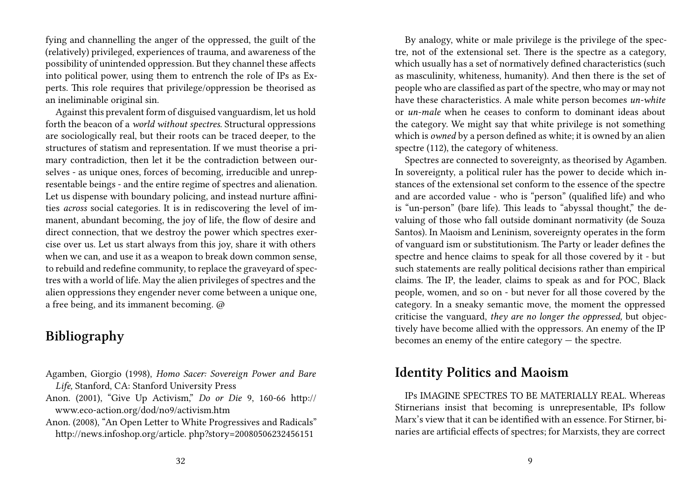fying and channelling the anger of the oppressed, the guilt of the (relatively) privileged, experiences of trauma, and awareness of the possibility of unintended oppression. But they channel these affects into political power, using them to entrench the role of IPs as Experts. This role requires that privilege/oppression be theorised as an ineliminable original sin.

Against this prevalent form of disguised vanguardism, let us hold forth the beacon of a *world without spectres.* Structural oppressions are sociologically real, but their roots can be traced deeper, to the structures of statism and representation. If we must theorise a primary contradiction, then let it be the contradiction between ourselves - as unique ones, forces of becoming, irreducible and unrepresentable beings - and the entire regime of spectres and alienation. Let us dispense with boundary policing, and instead nurture affinities *across* social categories. It is in rediscovering the level of immanent, abundant becoming, the joy of life, the flow of desire and direct connection, that we destroy the power which spectres exercise over us. Let us start always from this joy, share it with others when we can, and use it as a weapon to break down common sense, to rebuild and redefine community, to replace the graveyard of spectres with a world of life. May the alien privileges of spectres and the alien oppressions they engender never come between a unique one, a free being, and its immanent becoming. @

### **Bibliography**

- Agamben, Giorgio (1998), *Homo Sacer: Sovereign Power and Bare Life,* Stanford, CA: Stanford University Press
- Anon. (2001), "Give Up Activism," *Do or Die* 9, 160-66 http:// www.eco-action.org/dod/no9/activism.htm
- Anon. (2008), "An Open Letter to White Progressives and Radicals" http://news.infoshop.org/article. php?story=20080506232456151

By analogy, white or male privilege is the privilege of the spectre, not of the extensional set. There is the spectre as a category, which usually has a set of normatively defined characteristics (such as masculinity, whiteness, humanity). And then there is the set of people who are classified as part of the spectre, who may or may not have these characteristics. A male white person becomes *un-white* or *un-male* when he ceases to conform to dominant ideas about the category. We might say that white privilege is not something which is *owned* by a person defined as white; it is owned by an alien spectre (112), the category of whiteness.

Spectres are connected to sovereignty, as theorised by Agamben. In sovereignty, a political ruler has the power to decide which instances of the extensional set conform to the essence of the spectre and are accorded value - who is "person" (qualified life) and who is "un-person" (bare life). This leads to "abyssal thought," the devaluing of those who fall outside dominant normativity (de Souza Santos). In Maoism and Leninism, sovereignty operates in the form of vanguard ism or substitutionism. The Party or leader defines the spectre and hence claims to speak for all those covered by it - but such statements are really political decisions rather than empirical claims. The IP, the leader, claims to speak as and for POC, Black people, women, and so on - but never for all those covered by the category. In a sneaky semantic move, the moment the oppressed criticise the vanguard, *they are no longer the oppressed,* but objectively have become allied with the oppressors. An enemy of the IP becomes an enemy of the entire category — the spectre.

### **Identity Politics and Maoism**

IPs IMAGINE SPECTRES TO BE MATERIALLY REAL. Whereas Stirnerians insist that becoming is unrepresentable, IPs follow Marx's view that it can be identified with an essence. For Stirner, binaries are artificial effects of spectres; for Marxists, they are correct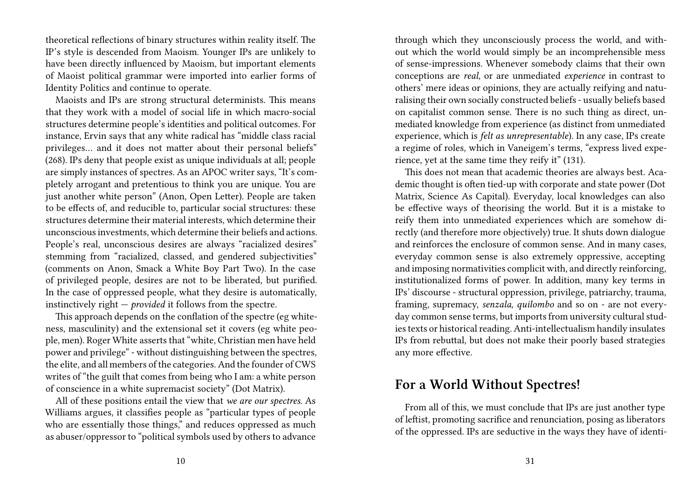theoretical reflections of binary structures within reality itself. The IP's style is descended from Maoism. Younger IPs are unlikely to have been directly influenced by Maoism, but important elements of Maoist political grammar were imported into earlier forms of Identity Politics and continue to operate.

Maoists and IPs are strong structural determinists. This means that they work with a model of social life in which macro-social structures determine people's identities and political outcomes. For instance, Ervin says that any white radical has "middle class racial privileges… and it does not matter about their personal beliefs" (268). IPs deny that people exist as unique individuals at all; people are simply instances of spectres. As an APOC writer says, "It's completely arrogant and pretentious to think you are unique. You are just another white person" (Anon, Open Letter). People are taken to be effects of, and reducible to, particular social structures: these structures determine their material interests, which determine their unconscious investments, which determine their beliefs and actions. People's real, unconscious desires are always "racialized desires" stemming from "racialized, classed, and gendered subjectivities" (comments on Anon, Smack a White Boy Part Two). In the case of privileged people, desires are not to be liberated, but purified. In the case of oppressed people, what they desire is automatically, instinctively right — *provided* it follows from the spectre.

This approach depends on the conflation of the spectre (eg whiteness, masculinity) and the extensional set it covers (eg white people, men). Roger White asserts that "white, Christian men have held power and privilege" - without distinguishing between the spectres, the elite, and all members of the categories. And the founder of CWS writes of "the guilt that comes from being who I am: a white person of conscience in a white supremacist society" (Dot Matrix).

All of these positions entail the view that *we are our spectres.* As Williams argues, it classifies people as "particular types of people who are essentially those things," and reduces oppressed as much as abuser/oppressor to "political symbols used by others to advance through which they unconsciously process the world, and without which the world would simply be an incomprehensible mess of sense-impressions. Whenever somebody claims that their own conceptions are *real,* or are unmediated *experience* in contrast to others' mere ideas or opinions, they are actually reifying and naturalising their own socially constructed beliefs - usually beliefs based on capitalist common sense. There is no such thing as direct, unmediated knowledge from experience (as distinct from unmediated experience, which is *felt as unrepresentable*). In any case, IPs create a regime of roles, which in Vaneigem's terms, "express lived experience, yet at the same time they reify it" (131).

This does not mean that academic theories are always best. Academic thought is often tied-up with corporate and state power (Dot Matrix, Science As Capital). Everyday, local knowledges can also be effective ways of theorising the world. But it is a mistake to reify them into unmediated experiences which are somehow directly (and therefore more objectively) true. It shuts down dialogue and reinforces the enclosure of common sense. And in many cases, everyday common sense is also extremely oppressive, accepting and imposing normativities complicit with, and directly reinforcing, institutionalized forms of power. In addition, many key terms in IPs' discourse - structural oppression, privilege, patriarchy, trauma, framing, supremacy, *senzala, quilombo* and so on - are not everyday common sense terms, but imports from university cultural studies texts or historical reading. Anti-intellectualism handily insulates IPs from rebuttal, but does not make their poorly based strategies any more effective.

## **For a World Without Spectres!**

From all of this, we must conclude that IPs are just another type of leftist, promoting sacrifice and renunciation, posing as liberators of the oppressed. IPs are seductive in the ways they have of identi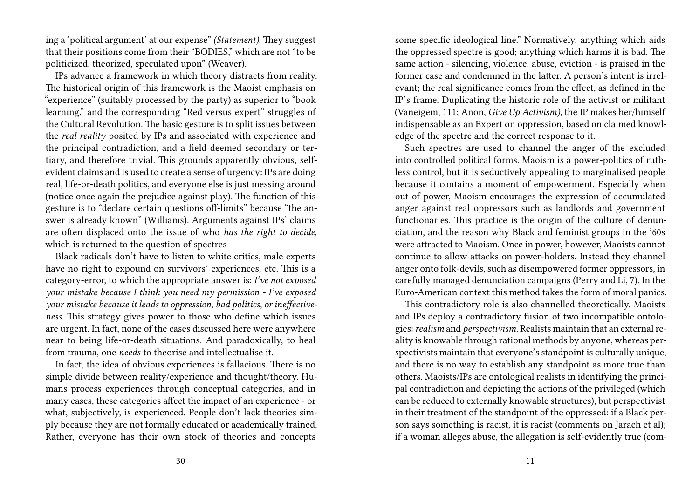ing a 'political argument' at our expense" *(Statement).* They suggest that their positions come from their "BODIES," which are not "to be politicized, theorized, speculated upon" (Weaver).

IPs advance a framework in which theory distracts from reality. The historical origin of this framework is the Maoist emphasis on "experience" (suitably processed by the party) as superior to "book learning," and the corresponding "Red versus expert" struggles of the Cultural Revolution. The basic gesture is to split issues between the *real reality* posited by IPs and associated with experience and the principal contradiction, and a field deemed secondary or tertiary, and therefore trivial. This grounds apparently obvious, selfevident claims and is used to create a sense of urgency: IPs are doing real, life-or-death politics, and everyone else is just messing around (notice once again the prejudice against play). The function of this gesture is to "declare certain questions off-limits" because "the answer is already known" (Williams). Arguments against IPs' claims are often displaced onto the issue of who *has the right to decide,* which is returned to the question of spectres

Black radicals don't have to listen to white critics, male experts have no right to expound on survivors' experiences, etc. This is a category-error, to which the appropriate answer is: *I've not exposed your mistake because I think you need my permission - I've exposed your mistake because it leads to oppression, bad politics, or ineffectiveness.* This strategy gives power to those who define which issues are urgent. In fact, none of the cases discussed here were anywhere near to being life-or-death situations. And paradoxically, to heal from trauma, one *needs* to theorise and intellectualise it.

In fact, the idea of obvious experiences is fallacious. There is no simple divide between reality/experience and thought/theory. Humans process experiences through conceptual categories, and in many cases, these categories affect the impact of an experience - or what, subjectively, is experienced. People don't lack theories simply because they are not formally educated or academically trained. Rather, everyone has their own stock of theories and concepts

some specific ideological line." Normatively, anything which aids the oppressed spectre is good; anything which harms it is bad. The same action - silencing, violence, abuse, eviction - is praised in the former case and condemned in the latter. A person's intent is irrelevant; the real significance comes from the effect, as defined in the IP's frame. Duplicating the historic role of the activist or militant (Vaneigem, 111; Anon, *Give Up Activism),* the IP makes her/himself indispensable as an Expert on oppression, based on claimed knowledge of the spectre and the correct response to it.

Such spectres are used to channel the anger of the excluded into controlled political forms. Maoism is a power-politics of ruthless control, but it is seductively appealing to marginalised people because it contains a moment of empowerment. Especially when out of power, Maoism encourages the expression of accumulated anger against real oppressors such as landlords and government functionaries. This practice is the origin of the culture of denunciation, and the reason why Black and feminist groups in the '60s were attracted to Maoism. Once in power, however, Maoists cannot continue to allow attacks on power-holders. Instead they channel anger onto folk-devils, such as disempowered former oppressors, in carefully managed denunciation campaigns (Perry and Li, 7). In the Euro-American context this method takes the form of moral panics.

This contradictory role is also channelled theoretically. Maoists and IPs deploy a contradictory fusion of two incompatible ontologies:*realism* and *perspectivism.* Realists maintain that an external reality is knowable through rational methods by anyone, whereas perspectivists maintain that everyone's standpoint is culturally unique, and there is no way to establish any standpoint as more true than others. Maoists/IPs are ontological realists in identifying the principal contradiction and depicting the actions of the privileged (which can be reduced to externally knowable structures), but perspectivist in their treatment of the standpoint of the oppressed: if a Black person says something is racist, it is racist (comments on Jarach et al); if a woman alleges abuse, the allegation is self-evidently true (com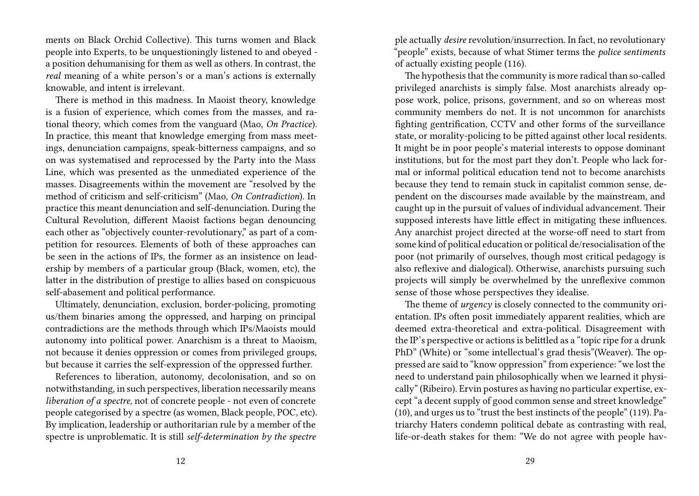ments on Black Orchid Collective). This turns women and Black people into Experts, to be unquestioningly listened to and obeyed a position dehumanising for them as well as others. In contrast, the *real* meaning of a white person's or a man's actions is externally knowable, and intent is irrelevant.

There is method in this madness. In Maoist theory, knowledge is a fusion of experience, which comes from the masses, and rational theory, which comes from the vanguard (Mao, *On Practice*). In practice, this meant that knowledge emerging from mass meetings, denunciation campaigns, speak-bitterness campaigns, and so on was systematised and reprocessed by the Party into the Mass Line, which was presented as the unmediated experience of the masses. Disagreements within the movement are "resolved by the method of criticism and self-criticism" (Mao, *On Contradiction*). In practice this meant denunciation and self-denunciation. During the Cultural Revolution, different Maoist factions began denouncing each other as "objectively counter-revolutionary," as part of a competition for resources. Elements of both of these approaches can be seen in the actions of IPs, the former as an insistence on leadership by members of a particular group (Black, women, etc), the latter in the distribution of prestige to allies based on conspicuous self-abasement and political performance.

Ultimately, denunciation, exclusion, border-policing, promoting us/them binaries among the oppressed, and harping on principal contradictions are the methods through which IPs/Maoists mould autonomy into political power. Anarchism is a threat to Maoism, not because it denies oppression or comes from privileged groups, but because it carries the self-expression of the oppressed further.

References to liberation, autonomy, decolonisation, and so on notwithstanding, in such perspectives, liberation necessarily means *liberation of a spectre,* not of concrete people - not even of concrete people categorised by a spectre (as women, Black people, POC, etc). By implication, leadership or authoritarian rule by a member of the spectre is unproblematic. It is still *self-determination by the spectre*

ple actually *desire* revolution/insurrection. In fact, no revolutionary "people" exists, because of what Stimer terms the *police sentiments* of actually existing people (116).

The hypothesis that the community is more radical than so-called privileged anarchists is simply false. Most anarchists already oppose work, police, prisons, government, and so on whereas most community members do not. It is not uncommon for anarchists fighting gentrification, CCTV and other forms of the surveillance state, or morality-policing to be pitted against other local residents. It might be in poor people's material interests to oppose dominant institutions, but for the most part they don't. People who lack formal or informal political education tend not to become anarchists because they tend to remain stuck in capitalist common sense, dependent on the discourses made available by the mainstream, and caught up in the pursuit of values of individual advancement. Their supposed interests have little effect in mitigating these influences. Any anarchist project directed at the worse-off need to start from some kind of political education or political de/resocialisation of the poor (not primarily of ourselves, though most critical pedagogy is also reflexive and dialogical). Otherwise, anarchists pursuing such projects will simply be overwhelmed by the unreflexive common sense of those whose perspectives they idealise.

The theme of *urgency* is closely connected to the community orientation. IPs often posit immediately apparent realities, which are deemed extra-theoretical and extra-political. Disagreement with the IP's perspective or actions is belittled as a "topic ripe for a drunk PhD" (White) or "some intellectual's grad thesis"(Weaver). The oppressed are said to "know oppression" from experience: "we lost the need to understand pain philosophically when we learned it physically" (Ribeiro). Ervin postures as having no particular expertise, except "a decent supply of good common sense and street knowledge" (10), and urges us to "trust the best instincts of the people" (119). Patriarchy Haters condemn political debate as contrasting with real, life-or-death stakes for them: "We do not agree with people hav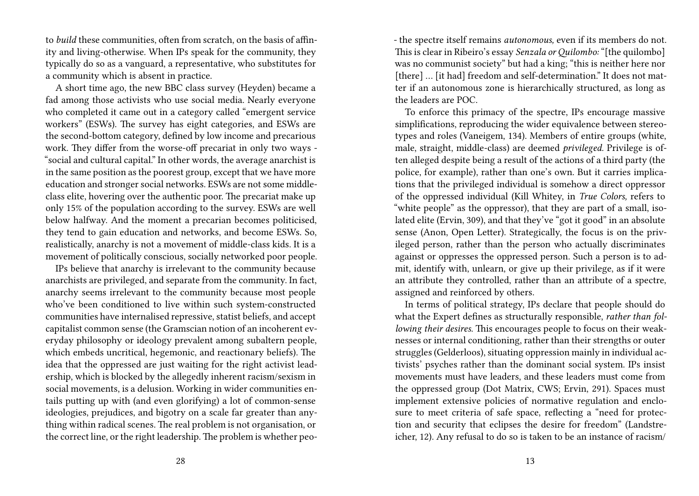to *build* these communities, often from scratch, on the basis of affinity and living-otherwise. When IPs speak for the community, they typically do so as a vanguard, a representative, who substitutes for a community which is absent in practice.

A short time ago, the new BBC class survey (Heyden) became a fad among those activists who use social media. Nearly everyone who completed it came out in a category called "emergent service workers" (ESWs). The survey has eight categories, and ESWs are the second-bottom category, defined by low income and precarious work. They differ from the worse-off precariat in only two ways - "social and cultural capital." In other words, the average anarchist is in the same position as the poorest group, except that we have more education and stronger social networks. ESWs are not some middleclass elite, hovering over the authentic poor. The precariat make up only 15% of the population according to the survey. ESWs are well below halfway. And the moment a precarian becomes politicised, they tend to gain education and networks, and become ESWs. So, realistically, anarchy is not a movement of middle-class kids. It is a movement of politically conscious, socially networked poor people.

IPs believe that anarchy is irrelevant to the community because anarchists are privileged, and separate from the community. In fact, anarchy seems irrelevant to the community because most people who've been conditioned to live within such system-constructed communities have internalised repressive, statist beliefs, and accept capitalist common sense (the Gramscian notion of an incoherent everyday philosophy or ideology prevalent among subaltern people, which embeds uncritical, hegemonic, and reactionary beliefs). The idea that the oppressed are just waiting for the right activist leadership, which is blocked by the allegedly inherent racism/sexism in social movements, is a delusion. Working in wider communities entails putting up with (and even glorifying) a lot of common-sense ideologies, prejudices, and bigotry on a scale far greater than anything within radical scenes. The real problem is not organisation, or the correct line, or the right leadership. The problem is whether peo*-* the spectre itself remains *autonomous,* even if its members do not. This is clear in Ribeiro's essay *Senzala or Quilombo*: "[the quilombo] was no communist society" but had a king; "this is neither here nor [there] ... [it had] freedom and self-determination." It does not matter if an autonomous zone is hierarchically structured, as long as the leaders are POC.

To enforce this primacy of the spectre, IPs encourage massive simplifications, reproducing the wider equivalence between stereotypes and roles (Vaneigem, 134). Members of entire groups (white, male, straight, middle-class) are deemed *privileged.* Privilege is often alleged despite being a result of the actions of a third party (the police, for example), rather than one's own. But it carries implications that the privileged individual is somehow a direct oppressor of the oppressed individual (Kill Whitey, in *True Colors,* refers to "white people" as the oppressor), that they are part of a small, isolated elite (Ervin, 309), and that they've "got it good" in an absolute sense (Anon, Open Letter). Strategically, the focus is on the privileged person, rather than the person who actually discriminates against or oppresses the oppressed person. Such a person is to admit, identify with, unlearn, or give up their privilege, as if it were an attribute they controlled, rather than an attribute of a spectre, assigned and reinforced by others.

In terms of political strategy, IPs declare that people should do what the Expert defines as structurally responsible, *rather than following their desires.* This encourages people to focus on their weaknesses or internal conditioning, rather than their strengths or outer struggles (Gelderloos), situating oppression mainly in individual activists' psyches rather than the dominant social system. IPs insist movements must have leaders, and these leaders must come from the oppressed group (Dot Matrix, CWS; Ervin, 291). Spaces must implement extensive policies of normative regulation and enclosure to meet criteria of safe space, reflecting a "need for protection and security that eclipses the desire for freedom" (Landstreicher, 12). Any refusal to do so is taken to be an instance of racism/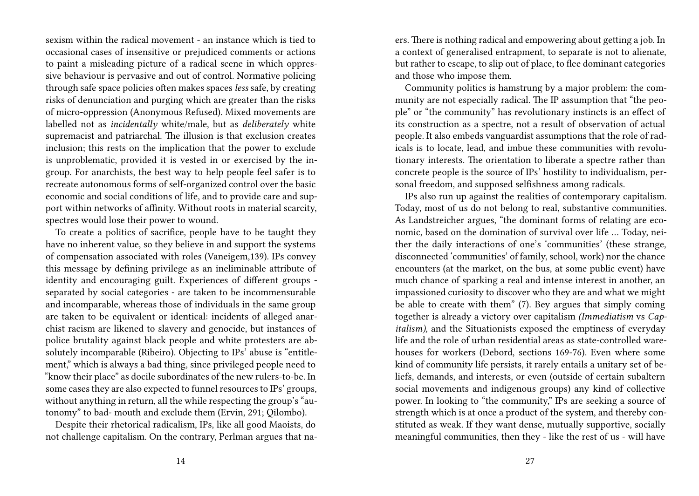sexism within the radical movement - an instance which is tied to occasional cases of insensitive or prejudiced comments or actions to paint a misleading picture of a radical scene in which oppressive behaviour is pervasive and out of control. Normative policing through safe space policies often makes spaces *less* safe, by creating risks of denunciation and purging which are greater than the risks of micro-oppression (Anonymous Refused). Mixed movements are labelled not as *incidentally* white/male, but as *deliberately* white supremacist and patriarchal. The illusion is that exclusion creates inclusion; this rests on the implication that the power to exclude is unproblematic, provided it is vested in or exercised by the ingroup. For anarchists, the best way to help people feel safer is to recreate autonomous forms of self-organized control over the basic economic and social conditions of life, and to provide care and support within networks of affinity. Without roots in material scarcity, spectres would lose their power to wound.

To create a politics of sacrifice, people have to be taught they have no inherent value, so they believe in and support the systems of compensation associated with roles (Vaneigem,139). IPs convey this message by defining privilege as an ineliminable attribute of identity and encouraging guilt. Experiences of different groups separated by social categories - are taken to be incommensurable and incomparable, whereas those of individuals in the same group are taken to be equivalent or identical: incidents of alleged anarchist racism are likened to slavery and genocide, but instances of police brutality against black people and white protesters are absolutely incomparable (Ribeiro). Objecting to IPs' abuse is "entitlement," which is always a bad thing, since privileged people need to "know their place" as docile subordinates of the new rulers-to-be. In some cases they are also expected to funnel resources to IPs' groups, without anything in return, all the while respecting the group's "autonomy" to bad- mouth and exclude them (Ervin, 291; Qilombo).

Despite their rhetorical radicalism, IPs, like all good Maoists, do not challenge capitalism. On the contrary, Perlman argues that naers. There is nothing radical and empowering about getting a job. In a context of generalised entrapment, to separate is not to alienate, but rather to escape, to slip out of place, to flee dominant categories and those who impose them.

Community politics is hamstrung by a major problem: the community are not especially radical. The IP assumption that "the people" or "the community" has revolutionary instincts is an effect of its construction as a spectre, not a result of observation of actual people. It also embeds vanguardist assumptions that the role of radicals is to locate, lead, and imbue these communities with revolutionary interests. The orientation to liberate a spectre rather than concrete people is the source of IPs' hostility to individualism, personal freedom, and supposed selfishness among radicals.

IPs also run up against the realities of contemporary capitalism. Today, most of us do not belong to real, substantive communities. As Landstreicher argues, "the dominant forms of relating are economic, based on the domination of survival over life … Today, neither the daily interactions of one's 'communities' (these strange, disconnected 'communities' of family, school, work) nor the chance encounters (at the market, on the bus, at some public event) have much chance of sparking a real and intense interest in another, an impassioned curiosity to discover who they are and what we might be able to create with them" (7). Bey argues that simply coming together is already a victory over capitalism *(Immediatism* vs *Capitalism),* and the Situationists exposed the emptiness of everyday life and the role of urban residential areas as state-controlled warehouses for workers (Debord, sections 169-76). Even where some kind of community life persists, it rarely entails a unitary set of beliefs, demands, and interests, or even (outside of certain subaltern social movements and indigenous groups) any kind of collective power. In looking to "the community," IPs are seeking a source of strength which is at once a product of the system, and thereby constituted as weak. If they want dense, mutually supportive, socially meaningful communities, then they - like the rest of us - will have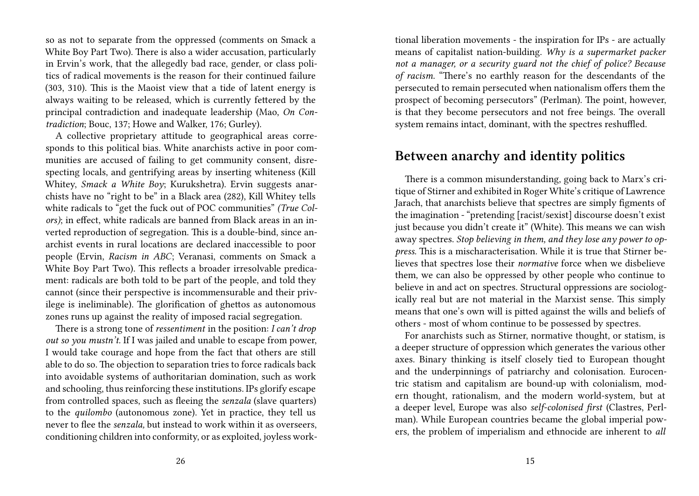so as not to separate from the oppressed (comments on Smack a White Boy Part Two). There is also a wider accusation, particularly in Ervin's work, that the allegedly bad race, gender, or class politics of radical movements is the reason for their continued failure (303, 310). This is the Maoist view that a tide of latent energy is always waiting to be released, which is currently fettered by the principal contradiction and inadequate leadership (Mao, *On Contradiction*; Bouc, 137; Howe and Walker, 176; Gurley).

A collective proprietary attitude to geographical areas corresponds to this political bias. White anarchists active in poor communities are accused of failing to get community consent, disrespecting locals, and gentrifying areas by inserting whiteness (Kill Whitey, *Smack a White Boy*; Kurukshetra). Ervin suggests anarchists have no "right to be" in a Black area (282), Kill Whitey tells white radicals to "get the fuck out of POC communities" *(True Colors)*; in effect, white radicals are banned from Black areas in an inverted reproduction of segregation. This is a double-bind, since anarchist events in rural locations are declared inaccessible to poor people (Ervin, *Racism in ABC*; Veranasi, comments on Smack a White Boy Part Two). This reflects a broader irresolvable predicament: radicals are both told to be part of the people, and told they cannot (since their perspective is incommensurable and their privilege is ineliminable). The glorification of ghettos as autonomous zones runs up against the reality of imposed racial segregation.

There is a strong tone of *ressentiment* in the position: *I can't drop out so you mustn't.* If I was jailed and unable to escape from power, I would take courage and hope from the fact that others are still able to do so. The objection to separation tries to force radicals back into avoidable systems of authoritarian domination, such as work and schooling, thus reinforcing these institutions. IPs glorify escape from controlled spaces, such as fleeing the *senzala* (slave quarters) to the *quilombo* (autonomous zone). Yet in practice, they tell us never to flee the *senzala,* but instead to work within it as overseers, conditioning children into conformity, or as exploited, joyless worktional liberation movements - the inspiration for IPs - are actually means of capitalist nation-building. *Why is a supermarket packer not a manager, or a security guard not the chief of police? Because of racism.* "There's no earthly reason for the descendants of the persecuted to remain persecuted when nationalism offers them the prospect of becoming persecutors" (Perlman). The point, however, is that they become persecutors and not free beings. The overall system remains intact, dominant, with the spectres reshuffled.

### **Between anarchy and identity politics**

There is a common misunderstanding, going back to Marx's critique of Stirner and exhibited in Roger White's critique of Lawrence Jarach, that anarchists believe that spectres are simply figments of the imagination - "pretending [racist/sexist] discourse doesn't exist just because you didn't create it" (White). This means we can wish away spectres. *Stop believing in them, and they lose any power to oppress.* This is a mischaracterisation. While it is true that Stirner believes that spectres lose their *normative* force when we disbelieve them, we can also be oppressed by other people who continue to believe in and act on spectres. Structural oppressions are sociologically real but are not material in the Marxist sense. This simply means that one's own will is pitted against the wills and beliefs of others - most of whom continue to be possessed by spectres.

For anarchists such as Stirner, normative thought, or statism, is a deeper structure of oppression which generates the various other axes. Binary thinking is itself closely tied to European thought and the underpinnings of patriarchy and colonisation. Eurocentric statism and capitalism are bound-up with colonialism, modern thought, rationalism, and the modern world-system, but at a deeper level, Europe was also *self-colonised first* (Clastres, Perlman). While European countries became the global imperial powers, the problem of imperialism and ethnocide are inherent to *all*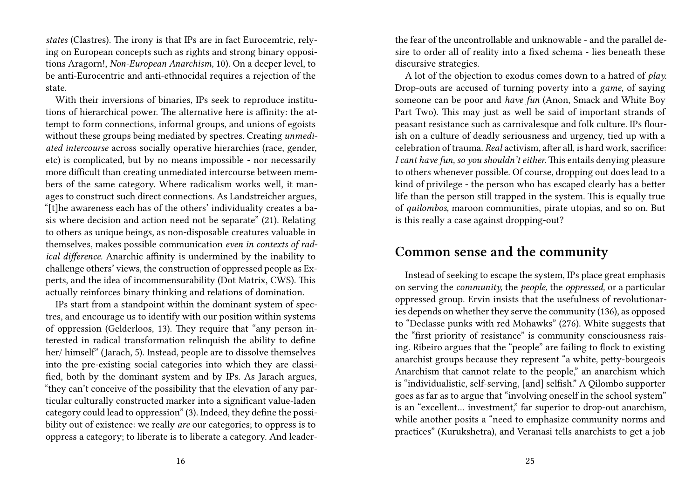*states* (Clastres). The irony is that IPs are in fact Eurocemtric, relying on European concepts such as rights and strong binary oppositions Aragorn!, *Non-European Anarchism,* 10). On a deeper level, to be anti-Eurocentric and anti-ethnocidal requires a rejection of the state.

With their inversions of binaries, IPs seek to reproduce institutions of hierarchical power. The alternative here is affinity: the attempt to form connections, informal groups, and unions of egoists without these groups being mediated by spectres. Creating *unmediated intercourse* across socially operative hierarchies (race, gender, etc) is complicated, but by no means impossible - nor necessarily more difficult than creating unmediated intercourse between members of the same category. Where radicalism works well, it manages to construct such direct connections. As Landstreicher argues, "[t]he awareness each has of the others' individuality creates a basis where decision and action need not be separate" (21). Relating to others as unique beings, as non-disposable creatures valuable in themselves, makes possible communication *even in contexts of radical difference.* Anarchic affinity is undermined by the inability to challenge others' views, the construction of oppressed people as Experts, and the idea of incommensurability (Dot Matrix, CWS). This actually reinforces binary thinking and relations of domination.

IPs start from a standpoint within the dominant system of spectres, and encourage us to identify with our position within systems of oppression (Gelderloos, 13). They require that "any person interested in radical transformation relinquish the ability to define her/ himself" (Jarach, 5). Instead, people are to dissolve themselves into the pre-existing social categories into which they are classified, both by the dominant system and by IPs. As Jarach argues, "they can't conceive of the possibility that the elevation of any particular culturally constructed marker into a significant value-laden category could lead to oppression" (3). Indeed, they define the possibility out of existence: we really *are* our categories; to oppress is to oppress a category; to liberate is to liberate a category. And leaderthe fear of the uncontrollable and unknowable - and the parallel desire to order all of reality into a fixed schema - lies beneath these discursive strategies.

A lot of the objection to exodus comes down to a hatred of *play.* Drop-outs are accused of turning poverty into a *game,* of saying someone can be poor and *have fun* (Anon, Smack and White Boy Part Two). This may just as well be said of important strands of peasant resistance such as carnivalesque and folk culture. IPs flourish on a culture of deadly seriousness and urgency, tied up with a celebration of trauma. *Real* activism, after all, is hard work, sacrifice: *I cant have fun, so you shouldn't either.* This entails denying pleasure to others whenever possible. Of course, dropping out does lead to a kind of privilege - the person who has escaped clearly has a better life than the person still trapped in the system. This is equally true of *quilombos,* maroon communities, pirate utopias, and so on. But is this really a case against dropping-out?

#### **Common sense and the community**

Instead of seeking to escape the system, IPs place great emphasis on serving the *community,* the *people,* the *oppressed,* or a particular oppressed group. Ervin insists that the usefulness of revolutionaries depends on whether they serve the community (136), as opposed to "Declasse punks with red Mohawks" (276). White suggests that the "first priority of resistance" is community consciousness raising. Ribeiro argues that the "people" are failing to flock to existing anarchist groups because they represent "a white, petty-bourgeois Anarchism that cannot relate to the people," an anarchism which is "individualistic, self-serving, [and] selfish." A Qilombo supporter goes as far as to argue that "involving oneself in the school system" is an "excellent... investment," far superior to drop-out anarchism, while another posits a "need to emphasize community norms and practices" (Kurukshetra), and Veranasi tells anarchists to get a job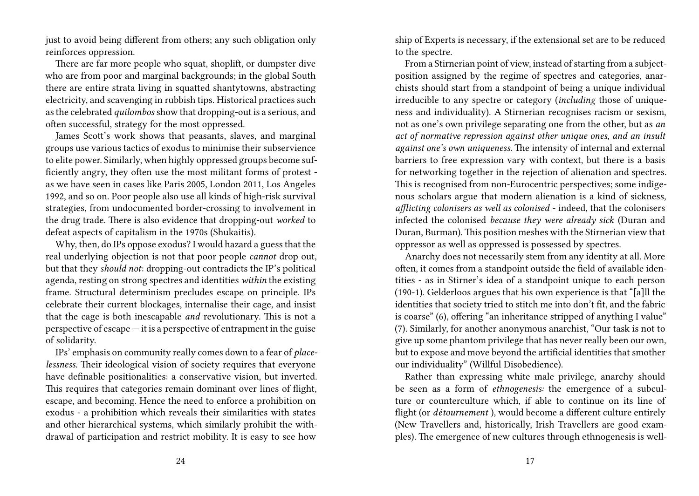just to avoid being different from others; any such obligation only reinforces oppression.

There are far more people who squat, shoplift, or dumpster dive who are from poor and marginal backgrounds; in the global South there are entire strata living in squatted shantytowns, abstracting electricity, and scavenging in rubbish tips. Historical practices such as the celebrated *quilombos* show that dropping-out is a serious, and often successful, strategy for the most oppressed.

James Scott's work shows that peasants, slaves, and marginal groups use various tactics of exodus to minimise their subservience to elite power. Similarly, when highly oppressed groups become sufficiently angry, they often use the most militant forms of protest as we have seen in cases like Paris 2005, London 2011, Los Angeles 1992, and so on. Poor people also use all kinds of high-risk survival strategies, from undocumented border-crossing to involvement in the drug trade. There is also evidence that dropping-out *worked* to defeat aspects of capitalism in the 1970s (Shukaitis).

Why, then, do IPs oppose exodus? I would hazard a guess that the real underlying objection is not that poor people *cannot* drop out, but that they *should not*: dropping-out contradicts the IP's political agenda, resting on strong spectres and identities *within* the existing frame. Structural determinism precludes escape on principle. IPs celebrate their current blockages, internalise their cage, and insist that the cage is both inescapable *and* revolutionary. This is not a perspective of escape — it is a perspective of entrapment in the guise of solidarity.

IPs' emphasis on community really comes down to a fear of *placelessness.* Their ideological vision of society requires that everyone have definable positionalities: a conservative vision, but inverted. This requires that categories remain dominant over lines of flight, escape, and becoming. Hence the need to enforce a prohibition on exodus - a prohibition which reveals their similarities with states and other hierarchical systems, which similarly prohibit the withdrawal of participation and restrict mobility. It is easy to see how

ship of Experts is necessary, if the extensional set are to be reduced to the spectre.

From a Stirnerian point of view, instead of starting from a subjectposition assigned by the regime of spectres and categories, anarchists should start from a standpoint of being a unique individual irreducible to any spectre or category (*including* those of uniqueness and individuality). A Stirnerian recognises racism or sexism, not as one's own privilege separating one from the other, but as *an act of normative repression against other unique ones, and an insult against one's own uniqueness.* The intensity of internal and external barriers to free expression vary with context, but there is a basis for networking together in the rejection of alienation and spectres. This is recognised from non-Eurocentric perspectives; some indigenous scholars argue that modern alienation is a kind of sickness, *afflicting colonisers as well as colonised* - indeed, that the colonisers infected the colonised *because they were already sick* (Duran and Duran, Burman). This position meshes with the Stirnerian view that oppressor as well as oppressed is possessed by spectres.

Anarchy does not necessarily stem from any identity at all. More often, it comes from a standpoint outside the field of available identities - as in Stirner's idea of a standpoint unique to each person (190-1). Gelderloos argues that his own experience is that "[a]ll the identities that society tried to stitch me into don't fit, and the fabric is coarse" (6), offering "an inheritance stripped of anything I value" (7). Similarly, for another anonymous anarchist, "Our task is not to give up some phantom privilege that has never really been our own, but to expose and move beyond the artificial identities that smother our individuality" (Willful Disobedience).

Rather than expressing white male privilege, anarchy should be seen as a form of *ethnogenesis:* the emergence of a subculture or counterculture which, if able to continue on its line of flight (or *détournement* ), would become a different culture entirely (New Travellers and, historically, Irish Travellers are good examples). The emergence of new cultures through ethnogenesis is well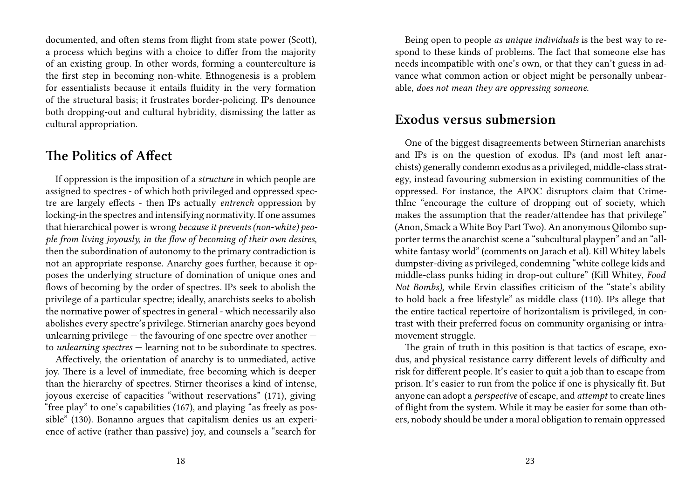documented, and often stems from flight from state power (Scott), a process which begins with a choice to differ from the majority of an existing group. In other words, forming a counterculture is the first step in becoming non-white. Ethnogenesis is a problem for essentialists because it entails fluidity in the very formation of the structural basis; it frustrates border-policing. IPs denounce both dropping-out and cultural hybridity, dismissing the latter as cultural appropriation.

#### **The Politics of Affect**

If oppression is the imposition of a *structure* in which people are assigned to spectres - of which both privileged and oppressed spectre are largely effects - then IPs actually *entrench* oppression by locking-in the spectres and intensifying normativity. If one assumes that hierarchical power is wrong *because it prevents (non-white) people from living joyously, in the flow of becoming of their own desires,* then the subordination of autonomy to the primary contradiction is not an appropriate response. Anarchy goes further, because it opposes the underlying structure of domination of unique ones and flows of becoming by the order of spectres. IPs seek to abolish the privilege of a particular spectre; ideally, anarchists seeks to abolish the normative power of spectres in general - which necessarily also abolishes every spectre's privilege. Stirnerian anarchy goes beyond unlearning privilege — the favouring of one spectre over another to *unlearning spectres* — learning not to be subordinate to spectres.

Affectively, the orientation of anarchy is to unmediated, active joy. There is a level of immediate, free becoming which is deeper than the hierarchy of spectres. Stirner theorises a kind of intense, joyous exercise of capacities "without reservations" (171), giving "free play" to one's capabilities (167), and playing "as freely as possible" (130). Bonanno argues that capitalism denies us an experience of active (rather than passive) joy, and counsels a "search for

Being open to people *as unique individuals* is the best way to respond to these kinds of problems. The fact that someone else has needs incompatible with one's own, or that they can't guess in advance what common action or object might be personally unbearable, *does not mean they are oppressing someone*.

#### **Exodus versus submersion**

One of the biggest disagreements between Stirnerian anarchists and IPs is on the question of exodus. IPs (and most left anarchists) generally condemn exodus as a privileged, middle-class strategy, instead favouring submersion in existing communities of the oppressed. For instance, the APOC disruptors claim that CrimethInc "encourage the culture of dropping out of society, which makes the assumption that the reader/attendee has that privilege" (Anon, Smack a White Boy Part Two). An anonymous Qilombo supporter terms the anarchist scene a "subcultural playpen" and an "allwhite fantasy world" (comments on Jarach et al). Kill Whitey labels dumpster-diving as privileged, condemning "white college kids and middle-class punks hiding in drop-out culture" (Kill Whitey, *Food Not Bombs),* while Ervin classifies criticism of the "state's ability to hold back a free lifestyle" as middle class (110). IPs allege that the entire tactical repertoire of horizontalism is privileged, in contrast with their preferred focus on community organising or intramovement struggle.

The grain of truth in this position is that tactics of escape, exodus, and physical resistance carry different levels of difficulty and risk for different people. It's easier to quit a job than to escape from prison. It's easier to run from the police if one is physically fit. But anyone can adopt a *perspective* of escape, and *attempt* to create lines of flight from the system. While it may be easier for some than others, nobody should be under a moral obligation to remain oppressed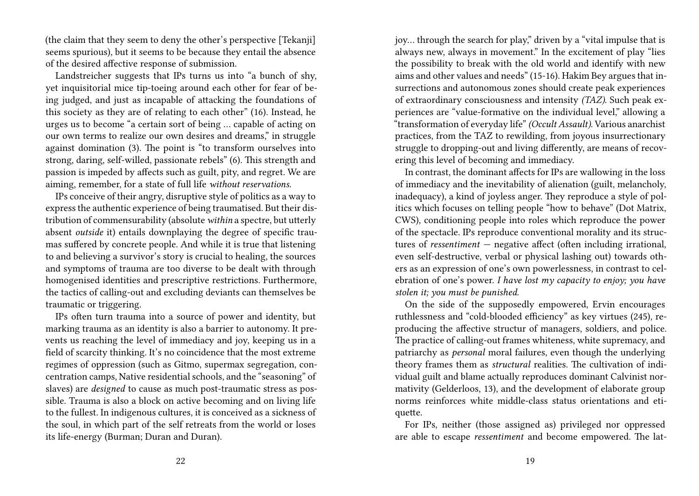(the claim that they seem to deny the other's perspective [Tekanji] seems spurious), but it seems to be because they entail the absence of the desired affective response of submission.

Landstreicher suggests that IPs turns us into "a bunch of shy, yet inquisitorial mice tip-toeing around each other for fear of being judged, and just as incapable of attacking the foundations of this society as they are of relating to each other" (16). Instead, he urges us to become "a certain sort of being … capable of acting on our own terms to realize our own desires and dreams," in struggle against domination (3). The point is "to transform ourselves into strong, daring, self-willed, passionate rebels" (6). This strength and passion is impeded by affects such as guilt, pity, and regret. We are aiming, remember, for a state of full life *without reservations.*

IPs conceive of their angry, disruptive style of politics as a way to express the authentic experience of being traumatised. But their distribution of commensurability (absolute *within* a spectre, but utterly absent *outside* it) entails downplaying the degree of specific traumas suffered by concrete people. And while it is true that listening to and believing a survivor's story is crucial to healing, the sources and symptoms of trauma are too diverse to be dealt with through homogenised identities and prescriptive restrictions. Furthermore, the tactics of calling-out and excluding deviants can themselves be traumatic or triggering.

IPs often turn trauma into a source of power and identity, but marking trauma as an identity is also a barrier to autonomy. It prevents us reaching the level of immediacy and joy, keeping us in a field of scarcity thinking. It's no coincidence that the most extreme regimes of oppression (such as Gitmo, supermax segregation, concentration camps, Native residential schools, and the "seasoning" of slaves) are *designed* to cause as much post-traumatic stress as possible. Trauma is also a block on active becoming and on living life to the fullest. In indigenous cultures, it is conceived as a sickness of the soul, in which part of the self retreats from the world or loses its life-energy (Burman; Duran and Duran).

joy… through the search for play," driven by a "vital impulse that is always new, always in movement." In the excitement of play "lies the possibility to break with the old world and identify with new aims and other values and needs" (15-16). Hakim Bey argues that insurrections and autonomous zones should create peak experiences of extraordinary consciousness and intensity *(TAZ).* Such peak experiences are "value-formative on the individual level," allowing a "transformation of everyday life" *(Occult Assault).* Various anarchist practices, from the TAZ to rewilding, from joyous insurrectionary struggle to dropping-out and living differently, are means of recovering this level of becoming and immediacy.

In contrast, the dominant affects for IPs are wallowing in the loss of immediacy and the inevitability of alienation (guilt, melancholy, inadequacy), a kind of joyless anger. They reproduce a style of politics which focuses on telling people "how to behave" (Dot Matrix, CWS), conditioning people into roles which reproduce the power of the spectacle. IPs reproduce conventional morality and its structures of *ressentiment* — negative affect (often including irrational, even self-destructive, verbal or physical lashing out) towards others as an expression of one's own powerlessness, in contrast to celebration of one's power. *I have lost my capacity to enjoy; you have stolen it; you must be punished.*

On the side of the supposedly empowered, Ervin encourages ruthlessness and "cold-blooded efficiency" as key virtues (245), reproducing the affective structur of managers, soldiers, and police. The practice of calling-out frames whiteness, white supremacy, and patriarchy as *personal* moral failures, even though the underlying theory frames them as *structural* realities. The cultivation of individual guilt and blame actually reproduces dominant Calvinist normativity (Gelderloos, 13), and the development of elaborate group norms reinforces white middle-class status orientations and etiquette.

For IPs, neither (those assigned as) privileged nor oppressed are able to escape *ressentiment* and become empowered. The lat